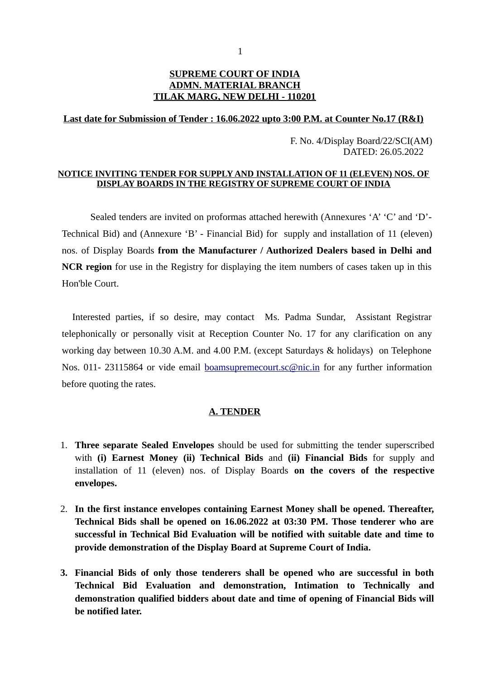## **SUPREME COURT OF INDIA ADMN. MATERIAL BRANCH TILAK MARG, NEW DELHI - 110201**

## **Last date for Submission of Tender : 16.06.2022 upto 3:00 P.M. at Counter No.17 (R&I)**

 F. No. 4/Display Board/22/SCI(AM) DATED: 26.05.2022

### **NOTICE INVITING TENDER FOR SUPPLY AND INSTALLATION OF 11 (ELEVEN) NOS. OF DISPLAY BOARDS IN THE REGISTRY OF SUPREME COURT OF INDIA**

Sealed tenders are invited on proformas attached herewith (Annexures 'A' 'C' and 'D'- Technical Bid) and (Annexure 'B' - Financial Bid) for supply and installation of 11 (eleven) nos. of Display Boards **from the Manufacturer / Authorized Dealers based in Delhi and NCR region** for use in the Registry for displaying the item numbers of cases taken up in this Hon'ble Court.

 Interested parties, if so desire, may contact Ms. Padma Sundar, Assistant Registrar telephonically or personally visit at Reception Counter No. 17 for any clarification on any working day between 10.30 A.M. and 4.00 P.M. (except Saturdays & holidays) on Telephone Nos. 011- 23115864 or vide email [boamsupremecourt.sc@nic.in](mailto:boamsupremecourt.sc@nic.in) for any further information before quoting the rates.

### **A. TENDER**

- 1. **Three separate Sealed Envelopes** should be used for submitting the tender superscribed with **(i) Earnest Money (ii) Technical Bids** and **(ii) Financial Bids** for supply and installation of 11 (eleven) nos. of Display Boards **on the covers of the respective envelopes.**
- 2. **In the first instance envelopes containing Earnest Money shall be opened. Thereafter, Technical Bids shall be opened on 16.06.2022 at 03:30 PM. Those tenderer who are successful in Technical Bid Evaluation will be notified with suitable date and time to provide demonstration of the Display Board at Supreme Court of India.**
- **3. Financial Bids of only those tenderers shall be opened who are successful in both Technical Bid Evaluation and demonstration, Intimation to Technically and demonstration qualified bidders about date and time of opening of Financial Bids will be notified later.**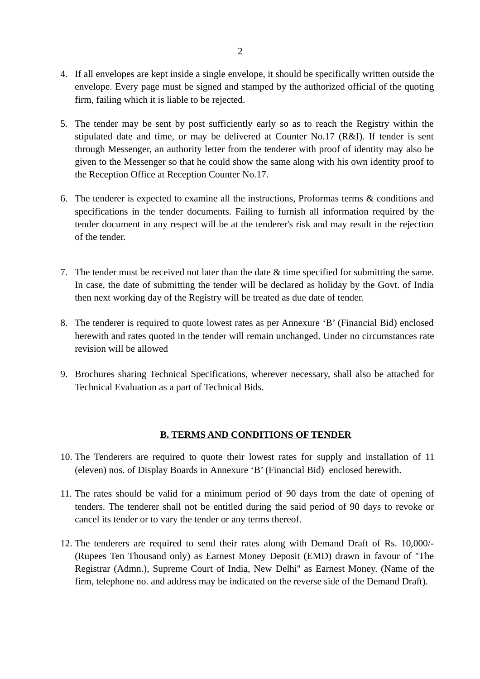- 4. If all envelopes are kept inside a single envelope, it should be specifically written outside the envelope. Every page must be signed and stamped by the authorized official of the quoting firm, failing which it is liable to be rejected.
- 5. The tender may be sent by post sufficiently early so as to reach the Registry within the stipulated date and time, or may be delivered at Counter No.17 (R&I). If tender is sent through Messenger, an authority letter from the tenderer with proof of identity may also be given to the Messenger so that he could show the same along with his own identity proof to the Reception Office at Reception Counter No.17.
- 6. The tenderer is expected to examine all the instructions, Proformas terms & conditions and specifications in the tender documents. Failing to furnish all information required by the tender document in any respect will be at the tenderer's risk and may result in the rejection of the tender.
- 7. The tender must be received not later than the date & time specified for submitting the same. In case, the date of submitting the tender will be declared as holiday by the Govt. of India then next working day of the Registry will be treated as due date of tender.
- 8. The tenderer is required to quote lowest rates as per Annexure 'B' (Financial Bid) enclosed herewith and rates quoted in the tender will remain unchanged. Under no circumstances rate revision will be allowed
- 9. Brochures sharing Technical Specifications, wherever necessary, shall also be attached for Technical Evaluation as a part of Technical Bids.

### **B. TERMS AND CONDITIONS OF TENDER**

- 10. The Tenderers are required to quote their lowest rates for supply and installation of 11 (eleven) nos. of Display Boards in Annexure 'B' (Financial Bid) enclosed herewith.
- 11. The rates should be valid for a minimum period of 90 days from the date of opening of tenders. The tenderer shall not be entitled during the said period of 90 days to revoke or cancel its tender or to vary the tender or any terms thereof.
- 12. The tenderers are required to send their rates along with Demand Draft of Rs. 10,000/- (Rupees Ten Thousand only) as Earnest Money Deposit (EMD) drawn in favour of ''The Registrar (Admn.), Supreme Court of India, New Delhi'' as Earnest Money. (Name of the firm, telephone no. and address may be indicated on the reverse side of the Demand Draft).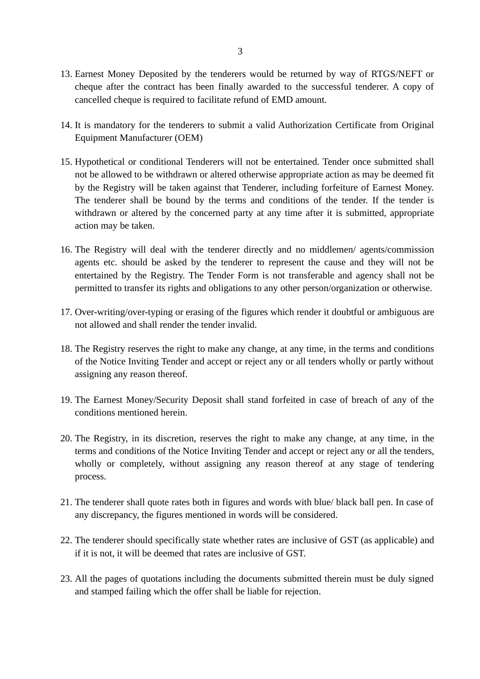- 13. Earnest Money Deposited by the tenderers would be returned by way of RTGS/NEFT or cheque after the contract has been finally awarded to the successful tenderer. A copy of cancelled cheque is required to facilitate refund of EMD amount.
- 14. It is mandatory for the tenderers to submit a valid Authorization Certificate from Original Equipment Manufacturer (OEM)
- 15. Hypothetical or conditional Tenderers will not be entertained. Tender once submitted shall not be allowed to be withdrawn or altered otherwise appropriate action as may be deemed fit by the Registry will be taken against that Tenderer, including forfeiture of Earnest Money. The tenderer shall be bound by the terms and conditions of the tender. If the tender is withdrawn or altered by the concerned party at any time after it is submitted, appropriate action may be taken.
- 16. The Registry will deal with the tenderer directly and no middlemen/ agents/commission agents etc. should be asked by the tenderer to represent the cause and they will not be entertained by the Registry. The Tender Form is not transferable and agency shall not be permitted to transfer its rights and obligations to any other person/organization or otherwise.
- 17. Over-writing/over-typing or erasing of the figures which render it doubtful or ambiguous are not allowed and shall render the tender invalid.
- 18. The Registry reserves the right to make any change, at any time, in the terms and conditions of the Notice Inviting Tender and accept or reject any or all tenders wholly or partly without assigning any reason thereof.
- 19. The Earnest Money/Security Deposit shall stand forfeited in case of breach of any of the conditions mentioned herein.
- 20. The Registry, in its discretion, reserves the right to make any change, at any time, in the terms and conditions of the Notice Inviting Tender and accept or reject any or all the tenders, wholly or completely, without assigning any reason thereof at any stage of tendering process.
- 21. The tenderer shall quote rates both in figures and words with blue/ black ball pen. In case of any discrepancy, the figures mentioned in words will be considered.
- 22. The tenderer should specifically state whether rates are inclusive of GST (as applicable) and if it is not, it will be deemed that rates are inclusive of GST.
- 23. All the pages of quotations including the documents submitted therein must be duly signed and stamped failing which the offer shall be liable for rejection.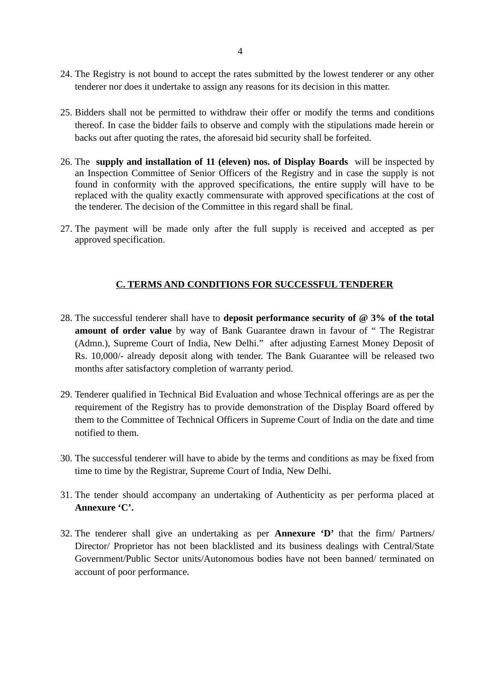- 24. The Registry is not bound to accept the rates submitted by the lowest tenderer or any other tenderer nor does it undertake to assign any reasons for its decision in this matter.
- 25. Bidders shall not be permitted to withdraw their offer or modify the terms and conditions thereof. In case the bidder fails to observe and comply with the stipulations made herein or backs out after quoting the rates, the aforesaid bid security shall be forfeited.
- 26. The **supply and installation of 11 (eleven) nos. of Display Boards** will be inspected by an Inspection Committee of Senior Officers of the Registry and in case the supply is not found in conformity with the approved specifications, the entire supply will have to be replaced with the quality exactly commensurate with approved specifications at the cost of the tenderer. The decision of the Committee in this regard shall be final.
- 27. The payment will be made only after the full supply is received and accepted as per approved specification.

## **C. TERMS AND CONDITIONS FOR SUCCESSFUL TENDERER**

- 28. The successful tenderer shall have to **deposit performance security of @ 3% of the total amount of order value** by way of Bank Guarantee drawn in favour of " The Registrar (Admn.), Supreme Court of India, New Delhi." after adjusting Earnest Money Deposit of Rs. 10,000/- already deposit along with tender. The Bank Guarantee will be released two months after satisfactory completion of warranty period.
- 29. Tenderer qualified in Technical Bid Evaluation and whose Technical offerings are as per the requirement of the Registry has to provide demonstration of the Display Board offered by them to the Committee of Technical Officers in Supreme Court of India on the date and time notified to them.
- 30. The successful tenderer will have to abide by the terms and conditions as may be fixed from time to time by the Registrar, Supreme Court of India, New Delhi.
- 31. The tender should accompany an undertaking of Authenticity as per performa placed at **Annexure 'C'.**
- 32. The tenderer shall give an undertaking as per **Annexure 'D'** that the firm/ Partners/ Director/ Proprietor has not been blacklisted and its business dealings with Central/State Government/Public Sector units/Autonomous bodies have not been banned/ terminated on account of poor performance.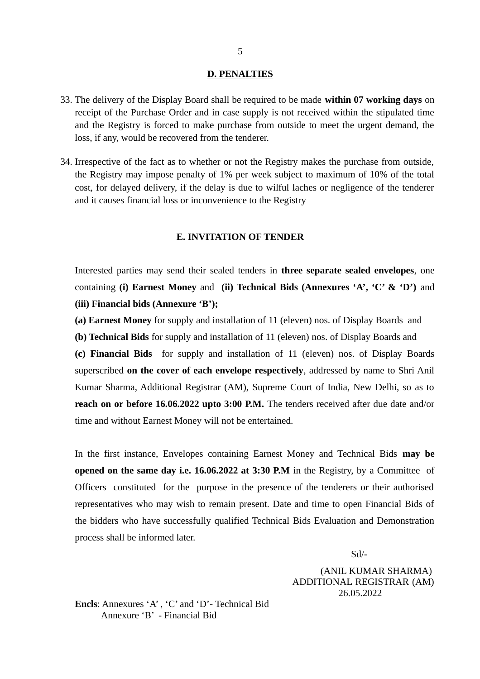#### **D. PENALTIES**

- 33. The delivery of the Display Board shall be required to be made **within 07 working days** on receipt of the Purchase Order and in case supply is not received within the stipulated time and the Registry is forced to make purchase from outside to meet the urgent demand, the loss, if any, would be recovered from the tenderer.
- 34. Irrespective of the fact as to whether or not the Registry makes the purchase from outside, the Registry may impose penalty of 1% per week subject to maximum of 10% of the total cost, for delayed delivery, if the delay is due to wilful laches or negligence of the tenderer and it causes financial loss or inconvenience to the Registry

### **E. INVITATION OF TENDER**

Interested parties may send their sealed tenders in **three separate sealed envelopes**, one containing **(i) Earnest Money** and **(ii) Technical Bids (Annexures 'A', 'C' & 'D')** and **(iii) Financial bids (Annexure 'B');**

**(a) Earnest Money** for supply and installation of 11 (eleven) nos. of Display Boards and

**(b) Technical Bids** for supply and installation of 11 (eleven) nos. of Display Boards and

**(c) Financial Bids** for supply and installation of 11 (eleven) nos. of Display Boards superscribed **on the cover of each envelope respectively**, addressed by name to Shri Anil Kumar Sharma, Additional Registrar (AM), Supreme Court of India, New Delhi, so as to **reach on or before 16.06.2022 upto 3:00 P.M.** The tenders received after due date and/or time and without Earnest Money will not be entertained.

In the first instance, Envelopes containing Earnest Money and Technical Bids **may be opened on the same day i.e. 16.06.2022 at 3:30 P.M** in the Registry, by a Committee of Officers constituted for the purpose in the presence of the tenderers or their authorised representatives who may wish to remain present. Date and time to open Financial Bids of the bidders who have successfully qualified Technical Bids Evaluation and Demonstration process shall be informed later.

Sd/-

 (ANIL KUMAR SHARMA) ADDITIONAL REGISTRAR (AM) 26.05.2022

**Encls**: Annexures 'A' , 'C' and 'D'- Technical Bid Annexure 'B' - Financial Bid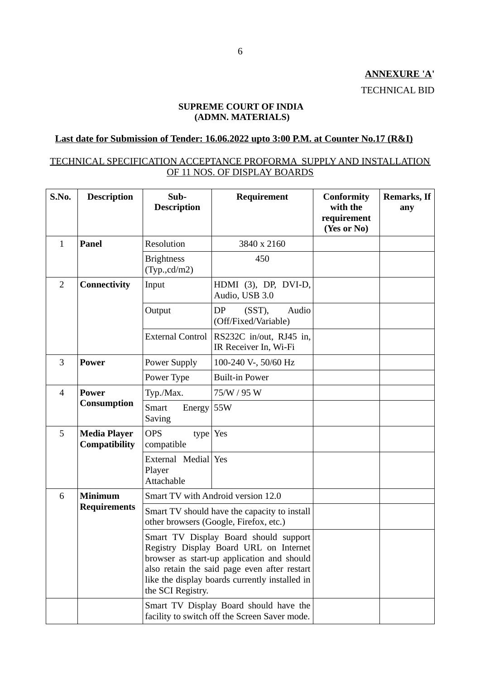**ANNEXURE 'A'** TECHNICAL BID

## **SUPREME COURT OF INDIA (ADMN. MATERIALS)**

# **Last date for Submission of Tender: 16.06.2022 upto 3:00 P.M. at Counter No.17 (R&I)**

## TECHNICAL SPECIFICATION ACCEPTANCE PROFORMA SUPPLY AND INSTALLATION OF 11 NOS. OF DISPLAY BOARDS

| S.No.          | <b>Description</b>                          | Sub-<br><b>Description</b>                                                                                                                                                                                                                           | Requirement                                                                             | <b>Conformity</b><br>with the<br>requirement<br>(Yes or No) | <b>Remarks, If</b><br>any |
|----------------|---------------------------------------------|------------------------------------------------------------------------------------------------------------------------------------------------------------------------------------------------------------------------------------------------------|-----------------------------------------------------------------------------------------|-------------------------------------------------------------|---------------------------|
| $\mathbf{1}$   | <b>Panel</b>                                | Resolution                                                                                                                                                                                                                                           | 3840 x 2160                                                                             |                                                             |                           |
|                |                                             | <b>Brightness</b><br>(Typ., cd/m2)                                                                                                                                                                                                                   | 450                                                                                     |                                                             |                           |
| $\overline{2}$ | <b>Connectivity</b>                         | Input                                                                                                                                                                                                                                                | HDMI (3), DP, DVI-D,<br>Audio, USB 3.0                                                  |                                                             |                           |
|                |                                             | Output                                                                                                                                                                                                                                               | DP<br>$(SST)$ ,<br>Audio<br>(Off/Fixed/Variable)                                        |                                                             |                           |
|                |                                             | <b>External Control</b>                                                                                                                                                                                                                              | RS232C in/out, RJ45 in,<br>IR Receiver In, Wi-Fi                                        |                                                             |                           |
| 3              | <b>Power</b>                                | Power Supply                                                                                                                                                                                                                                         | 100-240 V-, 50/60 Hz                                                                    |                                                             |                           |
|                |                                             | Power Type                                                                                                                                                                                                                                           | <b>Built-in Power</b>                                                                   |                                                             |                           |
| $\overline{4}$ | <b>Power</b><br><b>Consumption</b>          | Typ./Max.                                                                                                                                                                                                                                            | 75/W / 95 W                                                                             |                                                             |                           |
|                |                                             | <b>Smart</b><br>Energy 55W<br>Saving                                                                                                                                                                                                                 |                                                                                         |                                                             |                           |
| 5              | <b>Media Player</b><br><b>Compatibility</b> | <b>OPS</b><br>type   Yes<br>compatible                                                                                                                                                                                                               |                                                                                         |                                                             |                           |
|                |                                             | External Medial Yes<br>Player<br>Attachable                                                                                                                                                                                                          |                                                                                         |                                                             |                           |
| 6              | <b>Minimum</b><br><b>Requirements</b>       |                                                                                                                                                                                                                                                      | Smart TV with Android version 12.0                                                      |                                                             |                           |
|                |                                             | Smart TV should have the capacity to install<br>other browsers (Google, Firefox, etc.)                                                                                                                                                               |                                                                                         |                                                             |                           |
|                |                                             | Smart TV Display Board should support<br>Registry Display Board URL on Internet<br>browser as start-up application and should<br>also retain the said page even after restart<br>like the display boards currently installed in<br>the SCI Registry. |                                                                                         |                                                             |                           |
|                |                                             |                                                                                                                                                                                                                                                      | Smart TV Display Board should have the<br>facility to switch off the Screen Saver mode. |                                                             |                           |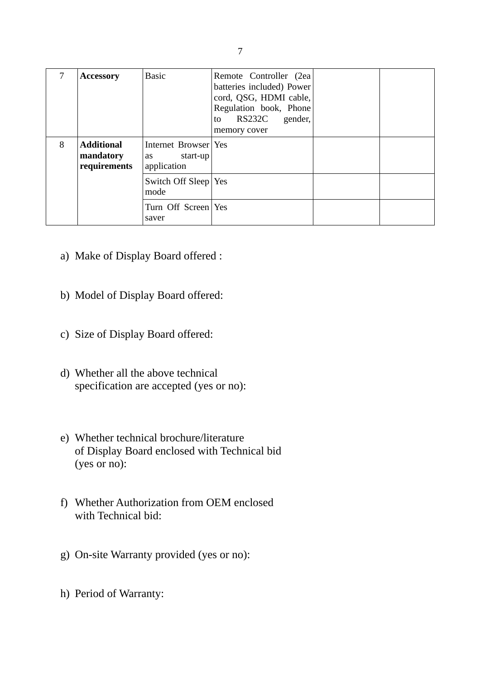| 7 | <b>Accessory</b>                               | <b>Basic</b>                                          | Remote Controller (2ea)<br>batteries included) Power<br>cord, QSG, HDMI cable,<br>Regulation book, Phone<br>RS232C gender,<br>to<br>memory cover |  |
|---|------------------------------------------------|-------------------------------------------------------|--------------------------------------------------------------------------------------------------------------------------------------------------|--|
| 8 | <b>Additional</b><br>mandatory<br>requirements | Internet Browser Yes<br>start-up<br>as<br>application |                                                                                                                                                  |  |
|   |                                                | Switch Off Sleep Yes<br>mode                          |                                                                                                                                                  |  |
|   |                                                | Turn Off Screen Yes<br>saver                          |                                                                                                                                                  |  |

- a) Make of Display Board offered :
- b) Model of Display Board offered:
- c) Size of Display Board offered:
- d) Whether all the above technical specification are accepted (yes or no):
- e) Whether technical brochure/literature of Display Board enclosed with Technical bid (yes or no):
- f) Whether Authorization from OEM enclosed with Technical bid:
- g) On-site Warranty provided (yes or no):
- h) Period of Warranty: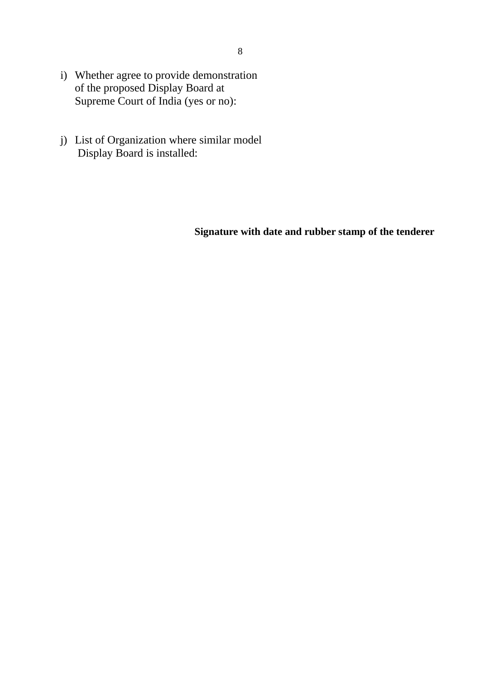- i) Whether agree to provide demonstration of the proposed Display Board at Supreme Court of India (yes or no):
- j) List of Organization where similar model Display Board is installed:

# **Signature with date and rubber stamp of the tenderer**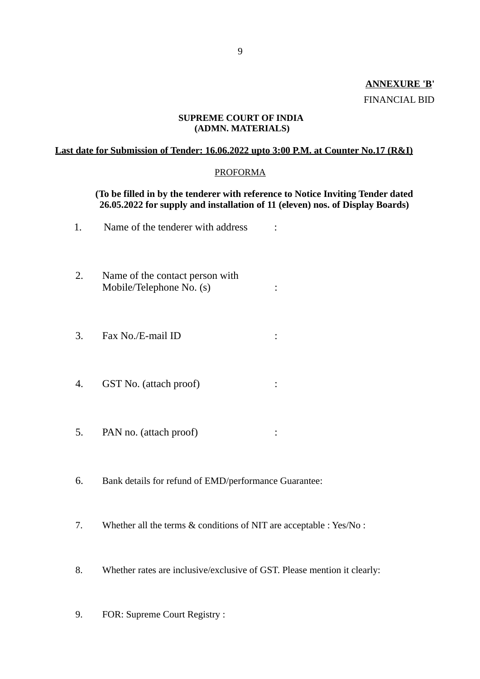# **ANNEXURE 'B'** FINANCIAL BID

### **SUPREME COURT OF INDIA (ADMN. MATERIALS)**

### **Last date for Submission of Tender: 16.06.2022 upto 3:00 P.M. at Counter No.17 (R&I)**

### PROFORMA

### **(To be filled in by the tenderer with reference to Notice Inviting Tender dated 26.05.2022 for supply and installation of 11 (eleven) nos. of Display Boards)**

- 1. Name of the tenderer with address :
- 2. Name of the contact person with Mobile/Telephone No. (s) :
- 3. Fax No./E-mail ID :
- 4. GST No. (attach proof) :
- 5. PAN no. (attach proof) :
- 6. Bank details for refund of EMD/performance Guarantee:
- 7. Whether all the terms & conditions of NIT are acceptable : Yes/No :
- 8. Whether rates are inclusive/exclusive of GST. Please mention it clearly:
- 9. FOR: Supreme Court Registry :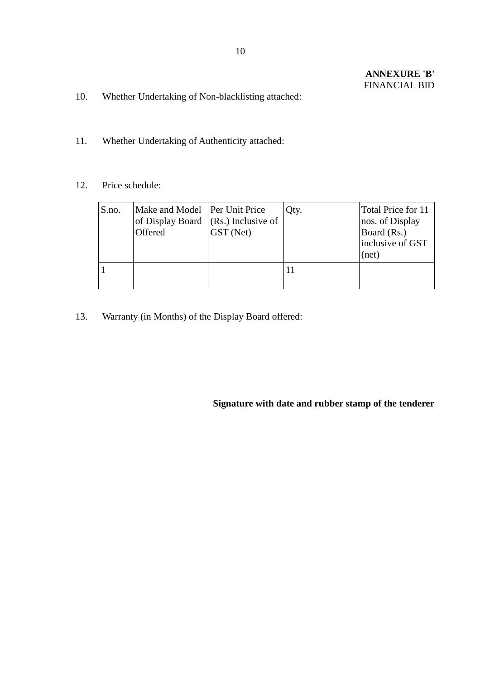- 10. Whether Undertaking of Non-blacklisting attached:
- 11. Whether Undertaking of Authenticity attached:
- 12. Price schedule:

| S.no. | Make and Model   Per Unit Price<br>of Display Board $ (Rs.)$ Inclusive of<br>Offered | GST (Net) | Qty. | Total Price for 11<br>nos. of Display<br>Board (Rs.)<br>inclusive of GST<br>(net) |
|-------|--------------------------------------------------------------------------------------|-----------|------|-----------------------------------------------------------------------------------|
|       |                                                                                      |           |      |                                                                                   |

13. Warranty (in Months) of the Display Board offered:

## **Signature with date and rubber stamp of the tenderer**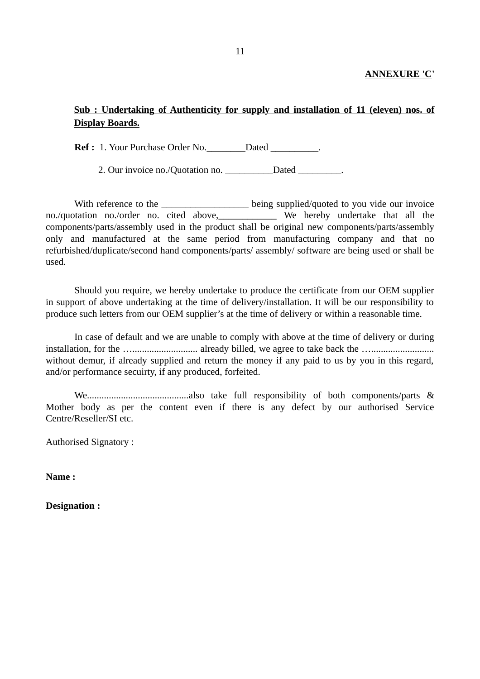## **ANNEXURE 'C'**

# **Sub : Undertaking of Authenticity for supply and installation of 11 (eleven) nos. of Display Boards.**

**Ref :** 1. Your Purchase Order No. Dated  $\qquad$ .

2. Our invoice no./Quotation no. \_\_\_\_\_\_\_\_\_\_Dated \_\_\_\_\_\_\_\_\_.

With reference to the \_\_\_\_\_\_\_\_\_\_\_\_\_\_\_\_\_\_\_\_\_ being supplied/quoted to you vide our invoice no./quotation no./order no. cited above,\_\_\_\_\_\_\_\_\_\_\_\_ We hereby undertake that all the components/parts/assembly used in the product shall be original new components/parts/assembly only and manufactured at the same period from manufacturing company and that no refurbished/duplicate/second hand components/parts/ assembly/ software are being used or shall be used.

Should you require, we hereby undertake to produce the certificate from our OEM supplier in support of above undertaking at the time of delivery/installation. It will be our responsibility to produce such letters from our OEM supplier's at the time of delivery or within a reasonable time.

In case of default and we are unable to comply with above at the time of delivery or during installation, for the …........................... already billed, we agree to take back the ….......................... without demur, if already supplied and return the money if any paid to us by you in this regard, and/or performance secuirty, if any produced, forfeited.

We..........................................also take full responsibility of both components/parts & Mother body as per the content even if there is any defect by our authorised Service Centre/Reseller/SI etc.

Authorised Signatory :

**Name :**

**Designation :**